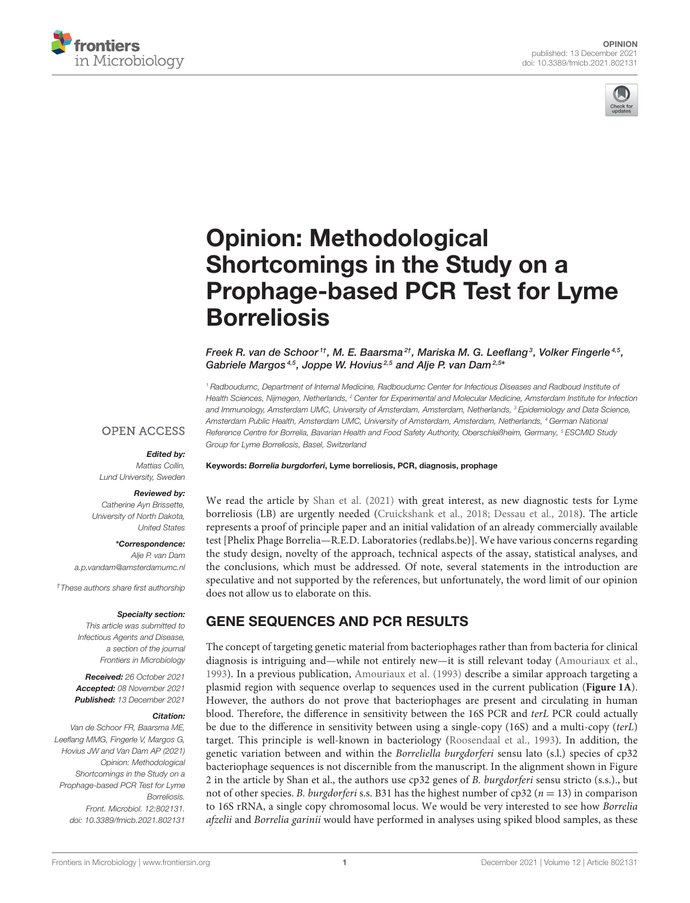



# Opinion: Methodological Shortcomings in the Study on a [Prophage-based PCR Test for Lyme](https://www.frontiersin.org/articles/10.3389/fmicb.2021.802131/full) **Borreliosis**

Freek R. van de Schoor $^{\textit{1}\dagger}$ , M. E. Baarsma $^{\textit{2}\dagger}$ , Mariska M. G. Leeflang $^{\textit{3}}$ , Volker Fingerle $^{\textit{4.5}}$ , Gabriele Margos<sup>4,5</sup>, Joppe W. Hovius<sup>2,5</sup> and Alje P. van Dam<sup>2,5\*</sup>

*<sup>1</sup> Radboudumc, Department of Internal Medicine, Radboudumc Center for Infectious Diseases and Radboud Institute of Health Sciences, Nijmegen, Netherlands, <sup>2</sup> Center for Experimental and Molecular Medicine, Amsterdam Institute for Infection and Immunology, Amsterdam UMC, University of Amsterdam, Amsterdam, Netherlands, <sup>3</sup> Epidemiology and Data Science, Amsterdam Public Health, Amsterdam UMC, University of Amsterdam, Amsterdam, Netherlands, <sup>4</sup> German National Reference Centre for Borrelia, Bavarian Health and Food Safety Authority, Oberschleißheim, Germany, <sup>5</sup> ESCMID Study Group for Lyme Borreliosis, Basel, Switzerland*

#### **OPEN ACCESS**

#### Edited by:

*Mattias Collin, Lund University, Sweden*

#### Reviewed by:

*Catherine Ayn Brissette, University of North Dakota, United States*

\*Correspondence: *Alje P. van Dam [a.p.vandam@amsterdamumc.nl](mailto:a.p.vandam@amsterdamumc.nl)*

*†These authors share first authorship*

#### Specialty section:

*This article was submitted to Infectious Agents and Disease, a section of the journal Frontiers in Microbiology*

Received: *26 October 2021* Accepted: *08 November 2021* Published: *13 December 2021*

#### Citation:

*Van de Schoor FR, Baarsma ME, Leeflang MMG, Fingerle V, Margos G, Hovius JW and Van Dam AP (2021) Opinion: Methodological Shortcomings in the Study on a Prophage-based PCR Test for Lyme Borreliosis. Front. Microbiol. 12:802131. doi: [10.3389/fmicb.2021.802131](https://doi.org/10.3389/fmicb.2021.802131)*

Keywords: Borrelia burgdorferi, Lyme borreliosis, PCR, diagnosis, prophage

We read the article by [Shan et al. \(2021\)](#page-3-0) with great interest, as new diagnostic tests for Lyme borreliosis (LB) are urgently needed [\(Cruickshank et al., 2018;](#page-3-1) [Dessau et al., 2018\)](#page-3-2). The article represents a proof of principle paper and an initial validation of an already commercially available test [Phelix Phage Borrelia—R.E.D. Laboratories [\(redlabs.be\)](https://redlabs.be)]. We have various concerns regarding the study design, novelty of the approach, technical aspects of the assay, statistical analyses, and the conclusions, which must be addressed. Of note, several statements in the introduction are speculative and not supported by the references, but unfortunately, the word limit of our opinion does not allow us to elaborate on this.

## GENE SEQUENCES AND PCR RESULTS

The concept of targeting genetic material from bacteriophages rather than from bacteria for clinical diagnosis is intriguing and—while not entirely new—it is still relevant today [\(Amouriaux et al.,](#page-3-3) [1993\)](#page-3-3). In a previous publication, [Amouriaux et al. \(1993\)](#page-3-3) describe a similar approach targeting a plasmid region with sequence overlap to sequences used in the current publication (**[Figure 1A](#page-2-0)**). However, the authors do not prove that bacteriophages are present and circulating in human blood. Therefore, the difference in sensitivity between the 16S PCR and terL PCR could actually be due to the difference in sensitivity between using a single-copy (16S) and a multi-copy (terL) target. This principle is well-known in bacteriology [\(Roosendaal et al., 1993\)](#page-3-4). In addition, the genetic variation between and within the Borreliella burgdorferi sensu lato (s.l.) species of cp32 bacteriophage sequences is not discernible from the manuscript. In the alignment shown in Figure 2 in the article by Shan et al., the authors use cp32 genes of B. burgdorferi sensu stricto (s.s.)., but not of other species. B. burgdorferi s.s. B31 has the highest number of cp32 ( $n = 13$ ) in comparison to 16S rRNA, a single copy chromosomal locus. We would be very interested to see how Borrelia afzelii and Borrelia garinii would have performed in analyses using spiked blood samples, as these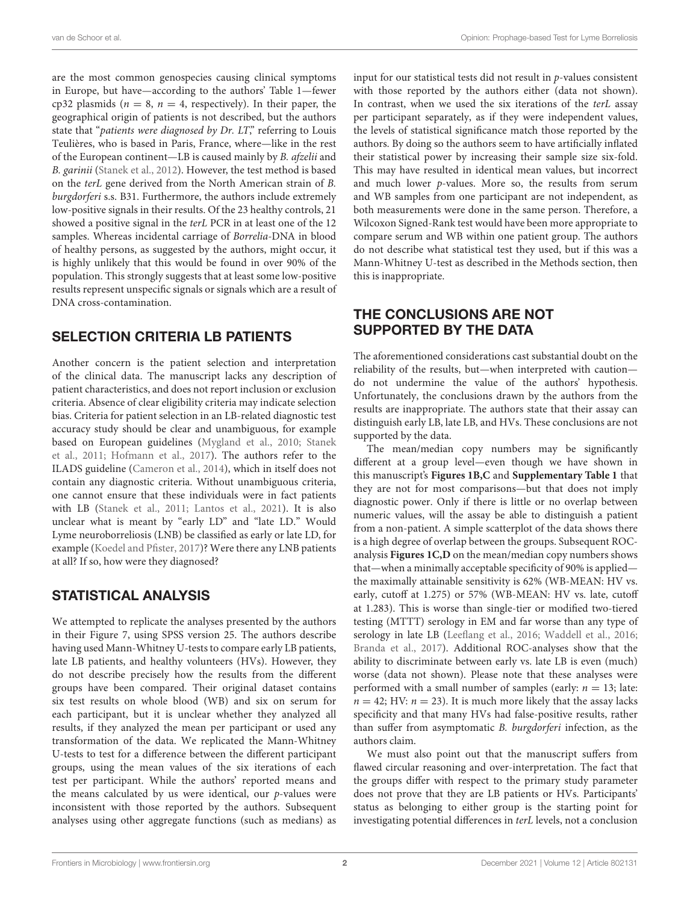are the most common genospecies causing clinical symptoms in Europe, but have—according to the authors' Table 1—fewer cp32 plasmids ( $n = 8$ ,  $n = 4$ , respectively). In their paper, the geographical origin of patients is not described, but the authors state that "patients were diagnosed by Dr. LT," referring to Louis Teulières, who is based in Paris, France, where—like in the rest of the European continent—LB is caused mainly by B. afzelii and B. garinii [\(Stanek et al., 2012\)](#page-3-5). However, the test method is based on the terL gene derived from the North American strain of B. burgdorferi s.s. B31. Furthermore, the authors include extremely low-positive signals in their results. Of the 23 healthy controls, 21 showed a positive signal in the terL PCR in at least one of the 12 samples. Whereas incidental carriage of Borrelia-DNA in blood of healthy persons, as suggested by the authors, might occur, it is highly unlikely that this would be found in over 90% of the population. This strongly suggests that at least some low-positive results represent unspecific signals or signals which are a result of DNA cross-contamination.

## SELECTION CRITERIA LB PATIENTS

Another concern is the patient selection and interpretation of the clinical data. The manuscript lacks any description of patient characteristics, and does not report inclusion or exclusion criteria. Absence of clear eligibility criteria may indicate selection bias. Criteria for patient selection in an LB-related diagnostic test accuracy study should be clear and unambiguous, for example based on European guidelines [\(Mygland et al., 2010;](#page-3-6) Stanek et al., [2011;](#page-3-7) [Hofmann et al., 2017\)](#page-3-8). The authors refer to the ILADS guideline [\(Cameron et al., 2014\)](#page-3-9), which in itself does not contain any diagnostic criteria. Without unambiguous criteria, one cannot ensure that these individuals were in fact patients with LB [\(Stanek et al., 2011;](#page-3-7) [Lantos et al., 2021\)](#page-3-10). It is also unclear what is meant by "early LD" and "late LD." Would Lyme neuroborreliosis (LNB) be classified as early or late LD, for example [\(Koedel and Pfister, 2017\)](#page-3-11)? Were there any LNB patients at all? If so, how were they diagnosed?

## STATISTICAL ANALYSIS

We attempted to replicate the analyses presented by the authors in their Figure 7, using SPSS version 25. The authors describe having used Mann-Whitney U-tests to compare early LB patients, late LB patients, and healthy volunteers (HVs). However, they do not describe precisely how the results from the different groups have been compared. Their original dataset contains six test results on whole blood (WB) and six on serum for each participant, but it is unclear whether they analyzed all results, if they analyzed the mean per participant or used any transformation of the data. We replicated the Mann-Whitney U-tests to test for a difference between the different participant groups, using the mean values of the six iterations of each test per participant. While the authors' reported means and the means calculated by us were identical, our  $p$ -values were inconsistent with those reported by the authors. Subsequent analyses using other aggregate functions (such as medians) as input for our statistical tests did not result in  $p$ -values consistent with those reported by the authors either (data not shown). In contrast, when we used the six iterations of the terL assay per participant separately, as if they were independent values, the levels of statistical significance match those reported by the authors. By doing so the authors seem to have artificially inflated their statistical power by increasing their sample size six-fold. This may have resulted in identical mean values, but incorrect and much lower p-values. More so, the results from serum and WB samples from one participant are not independent, as both measurements were done in the same person. Therefore, a Wilcoxon Signed-Rank test would have been more appropriate to compare serum and WB within one patient group. The authors do not describe what statistical test they used, but if this was a Mann-Whitney U-test as described in the Methods section, then this is inappropriate.

# THE CONCLUSIONS ARE NOT SUPPORTED BY THE DATA

The aforementioned considerations cast substantial doubt on the reliability of the results, but—when interpreted with caution do not undermine the value of the authors' hypothesis. Unfortunately, the conclusions drawn by the authors from the results are inappropriate. The authors state that their assay can distinguish early LB, late LB, and HVs. These conclusions are not supported by the data.

The mean/median copy numbers may be significantly different at a group level—even though we have shown in this manuscript's **[Figures 1B,C](#page-2-0)** and **[Supplementary Table 1](#page-3-12)** that they are not for most comparisons—but that does not imply diagnostic power. Only if there is little or no overlap between numeric values, will the assay be able to distinguish a patient from a non-patient. A simple scatterplot of the data shows there is a high degree of overlap between the groups. Subsequent ROCanalysis **[Figures 1C,D](#page-2-0)** on the mean/median copy numbers shows that—when a minimally acceptable specificity of 90% is applied the maximally attainable sensitivity is 62% (WB-MEAN: HV vs. early, cutoff at 1.275) or 57% (WB-MEAN: HV vs. late, cutoff at 1.283). This is worse than single-tier or modified two-tiered testing (MTTT) serology in EM and far worse than any type of serology in late LB [\(Leeflang et al., 2016;](#page-3-13) [Waddell et al., 2016;](#page-4-0) [Branda et al., 2017\)](#page-3-14). Additional ROC-analyses show that the ability to discriminate between early vs. late LB is even (much) worse (data not shown). Please note that these analyses were performed with a small number of samples (early:  $n = 13$ ; late:  $n = 42$ ; HV:  $n = 23$ ). It is much more likely that the assay lacks specificity and that many HVs had false-positive results, rather than suffer from asymptomatic B. burgdorferi infection, as the authors claim.

We must also point out that the manuscript suffers from flawed circular reasoning and over-interpretation. The fact that the groups differ with respect to the primary study parameter does not prove that they are LB patients or HVs. Participants' status as belonging to either group is the starting point for investigating potential differences in terL levels, not a conclusion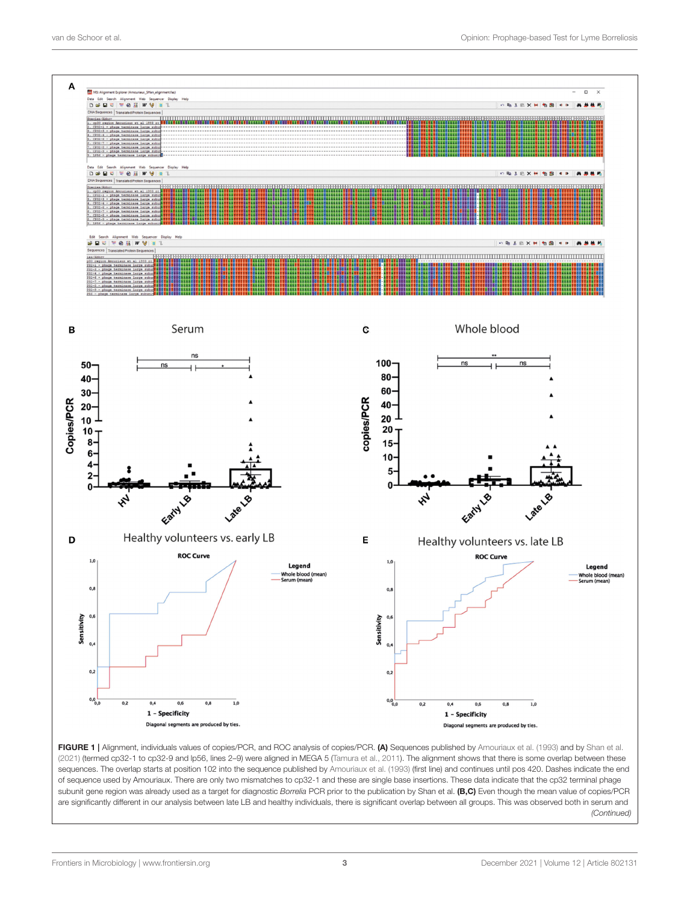

<span id="page-2-0"></span>FIGURE 1 | Alignment, individuals values of copies/PCR, and ROC analysis of copies/PCR. (A) Sequences published by [Amouriaux et al. \(1993\)](#page-3-3) and by [Shan et al.](#page-3-0) [\(2021\)](#page-3-0) (termed cp32-1 to cp32-9 and lp56, lines 2–9) were aligned in MEGA 5 [\(Tamura et al., 2011\)](#page-4-1). The alignment shows that there is some overlap between these sequences. The overlap starts at position 102 into the sequence published by [Amouriaux et al. \(1993\)](#page-3-3) (first line) and continues until pos 420. Dashes indicate the end of sequence used by Amouriaux. There are only two mismatches to cp32-1 and these are single base insertions. These data indicate that the cp32 terminal phage subunit gene region was already used as a target for diagnostic *Borrelia* PCR prior to the publication by Shan et al. (B,C) Even though the mean value of copies/PCR are significantly different in our analysis between late LB and healthy individuals, there is significant overlap between all groups. This was observed both in serum and *(Continued)*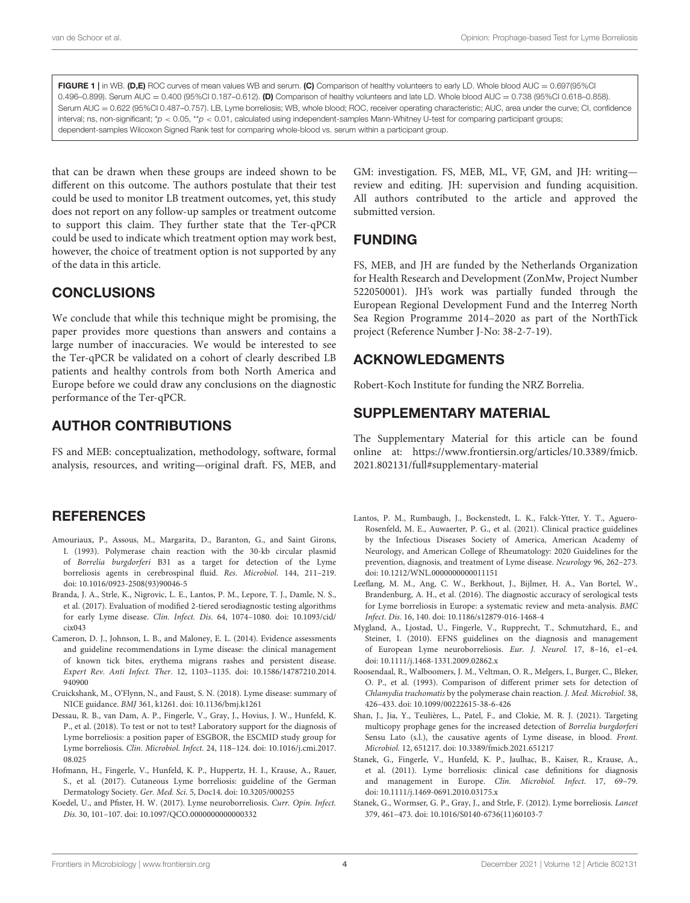FIGURE 1 | in WB. (D,E) ROC curves of mean values WB and serum. (C) Comparison of healthy volunteers to early LD. Whole blood AUC = 0.697(95%CI 0.496–0.899). Serum AUC = 0.400 (95%CI 0.187–0.612). (D) Comparison of healthy volunteers and late LD. Whole blood AUC = 0.738 (95%CI 0.618–0.858). Serum AUC = 0.622 (95%Cl 0.487-0.757). LB, Lyme borreliosis; WB, whole blood; ROC, receiver operating characteristic; AUC, area under the curve; CI, confidence interval; ns, non-significant; \**p* < 0.05, \*\**p* < 0.01, calculated using independent-samples Mann-Whitney U-test for comparing participant groups; dependent-samples Wilcoxon Signed Rank test for comparing whole-blood vs. serum within a participant group.

that can be drawn when these groups are indeed shown to be different on this outcome. The authors postulate that their test could be used to monitor LB treatment outcomes, yet, this study does not report on any follow-up samples or treatment outcome to support this claim. They further state that the Ter-qPCR could be used to indicate which treatment option may work best, however, the choice of treatment option is not supported by any of the data in this article.

#### **CONCLUSIONS**

We conclude that while this technique might be promising, the paper provides more questions than answers and contains a large number of inaccuracies. We would be interested to see the Ter-qPCR be validated on a cohort of clearly described LB patients and healthy controls from both North America and Europe before we could draw any conclusions on the diagnostic performance of the Ter-qPCR.

## AUTHOR CONTRIBUTIONS

FS and MEB: conceptualization, methodology, software, formal analysis, resources, and writing—original draft. FS, MEB, and

#### **REFERENCES**

- <span id="page-3-3"></span>Amouriaux, P., Assous, M., Margarita, D., Baranton, G., and Saint Girons, I. (1993). Polymerase chain reaction with the 30-kb circular plasmid of Borrelia burgdorferi B31 as a target for detection of the Lyme borreliosis agents in cerebrospinal fluid. Res. Microbiol. 144, 211–219. doi: [10.1016/0923-2508\(93\)90046-5](https://doi.org/10.1016/0923-2508(93)90046-5)
- <span id="page-3-14"></span>Branda, J. A., Strle, K., Nigrovic, L. E., Lantos, P. M., Lepore, T. J., Damle, N. S., et al. (2017). Evaluation of modified 2-tiered serodiagnostic testing algorithms for early Lyme disease. Clin. Infect. Dis[. 64, 1074–1080. doi: 10.1093/cid/](https://doi.org/10.1093/cid/cix043)  $\operatorname{civ}$ 043
- <span id="page-3-9"></span>Cameron, D. J., Johnson, L. B., and Maloney, E. L. (2014). Evidence assessments and guideline recommendations in Lyme disease: the clinical management of known tick bites, erythema migrans rashes and persistent disease. Expert Rev. Anti Infect. Ther[. 12, 1103–1135. doi: 10.1586/14787210.2014.](https://doi.org/10.1586/14787210.2014.940900) 940900
- <span id="page-3-1"></span>Cruickshank, M., O'Flynn, N., and Faust, S. N. (2018). Lyme disease: summary of NICE guidance. BMJ 361, k1261. doi: [10.1136/bmj.k1261](https://doi.org/10.1136/bmj.k1261)
- <span id="page-3-2"></span>Dessau, R. B., van Dam, A. P., Fingerle, V., Gray, J., Hovius, J. W., Hunfeld, K. P., et al. (2018). To test or not to test? Laboratory support for the diagnosis of Lyme borreliosis: a position paper of ESGBOR, the ESCMID study group for Lyme borreliosis. Clin. Microbiol. Infect[. 24, 118–124. doi: 10.1016/j.cmi.2017.](https://doi.org/10.1016/j.cmi.2017.08.025) 08.025
- <span id="page-3-8"></span>Hofmann, H., Fingerle, V., Hunfeld, K. P., Huppertz, H. I., Krause, A., Rauer, S., et al. (2017). Cutaneous Lyme borreliosis: guideline of the German Dermatology Society. Ger. Med. Sci. 5, Doc14. doi: [10.3205/000255](https://doi.org/10.3205/000255)
- <span id="page-3-11"></span>Koedel, U., and Pfister, H. W. (2017). Lyme neuroborreliosis. Curr. Opin. Infect. Dis. 30, 101–107. doi: [10.1097/QCO.0000000000000332](https://doi.org/10.1097/QCO.0000000000000332)

GM: investigation. FS, MEB, ML, VF, GM, and JH: writing review and editing. JH: supervision and funding acquisition. All authors contributed to the article and approved the submitted version.

## FUNDING

FS, MEB, and JH are funded by the Netherlands Organization for Health Research and Development (ZonMw, Project Number 522050001). JH's work was partially funded through the European Regional Development Fund and the Interreg North Sea Region Programme 2014–2020 as part of the NorthTick project (Reference Number J-No: 38-2-7-19).

## ACKNOWLEDGMENTS

Robert-Koch Institute for funding the NRZ Borrelia.

#### SUPPLEMENTARY MATERIAL

<span id="page-3-12"></span>The Supplementary Material for this article can be found [online at: https://www.frontiersin.org/articles/10.3389/fmicb.](https://www.frontiersin.org/articles/10.3389/fmicb.2021.802131/full#supplementary-material) 2021.802131/full#supplementary-material

- <span id="page-3-10"></span>Lantos, P. M., Rumbaugh, J., Bockenstedt, L. K., Falck-Ytter, Y. T., Aguero-Rosenfeld, M. E., Auwaerter, P. G., et al. (2021). Clinical practice guidelines by the Infectious Diseases Society of America, American Academy of Neurology, and American College of Rheumatology: 2020 Guidelines for the prevention, diagnosis, and treatment of Lyme disease. Neurology 96, 262–273. doi: [10.1212/WNL.0000000000011151](https://doi.org/10.1212/WNL.0000000000011151)
- <span id="page-3-13"></span>Leeflang, M. M., Ang, C. W., Berkhout, J., Bijlmer, H. A., Van Bortel, W., Brandenburg, A. H., et al. (2016). The diagnostic accuracy of serological tests for Lyme borreliosis in Europe: a systematic review and meta-analysis. BMC Infect. Dis. 16, 140. doi: [10.1186/s12879-016-1468-4](https://doi.org/10.1186/s12879-016-1468-4)
- <span id="page-3-6"></span>Mygland, A., Ljostad, U., Fingerle, V., Rupprecht, T., Schmutzhard, E., and Steiner, I. (2010). EFNS guidelines on the diagnosis and management of European Lyme neuroborreliosis. Eur. J. Neurol. 17, 8–16, e1–e4. doi: [10.1111/j.1468-1331.2009.02862.x](https://doi.org/10.1111/j.1468-1331.2009.02862.x)
- <span id="page-3-4"></span>Roosendaal, R., Walboomers, J. M., Veltman, O. R., Melgers, I., Burger, C., Bleker, O. P., et al. (1993). Comparison of different primer sets for detection of Chlamydia trachomatis by the polymerase chain reaction. J. Med. Microbiol. 38, 426–433. doi: [10.1099/00222615-38-6-426](https://doi.org/10.1099/00222615-38-6-426)
- <span id="page-3-0"></span>Shan, J., Jia, Y., Teulières, L., Patel, F., and Clokie, M. R. J. (2021). Targeting multicopy prophage genes for the increased detection of Borrelia burgdorferi Sensu Lato (s.l.), the causative agents of Lyme disease, in blood. Front. Microbiol. 12, 651217. doi: [10.3389/fmicb.2021.651217](https://doi.org/10.3389/fmicb.2021.651217)
- <span id="page-3-7"></span>Stanek, G., Fingerle, V., Hunfeld, K. P., Jaulhac, B., Kaiser, R., Krause, A., et al. (2011). Lyme borreliosis: clinical case definitions for diagnosis and management in Europe. Clin. Microbiol. Infect. 17, 69–79. doi: [10.1111/j.1469-0691.2010.03175.x](https://doi.org/10.1111/j.1469-0691.2010.03175.x)
- <span id="page-3-5"></span>Stanek, G., Wormser, G. P., Gray, J., and Strle, F. (2012). Lyme borreliosis. Lancet 379, 461–473. doi: [10.1016/S0140-6736\(11\)60103-7](https://doi.org/10.1016/S0140-6736(11)60103-7)